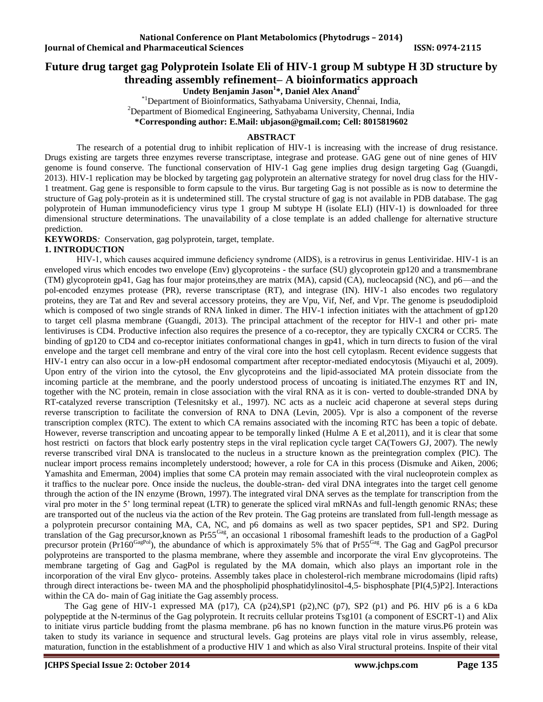# **Future drug target gag Polyprotein Isolate Eli of HIV-1 group M subtype H 3D structure by threading assembly refinement– A bioinformatics approach**

**Undety Benjamin Jason<sup>1</sup> \*, Daniel Alex Anand<sup>2</sup>**

\*1Department of Bioinformatics, Sathyabama University, Chennai, India, <sup>2</sup>Department of Biomedical Engineering, Sathyabama University, Chennai, India **\*Corresponding author: E.Mail[: ubjason@gmail.com;](mailto:ubjason@gmail.com) Cell: 8015819602**

### **ABSTRACT**

The research of a potential drug to inhibit replication of HIV-1 is increasing with the increase of drug resistance. Drugs existing are targets three enzymes reverse transcriptase, integrase and protease. GAG gene out of nine genes of HIV genome is found conserve. The functional conservation of HIV-1 Gag gene implies drug design targeting Gag (Guangdi, 2013). HIV-1 replication may be blocked by targeting gag polyprotein an alternative strategy for novel drug class for the HIV-1 treatment. Gag gene is responsible to form capsule to the virus. Bur targeting Gag is not possible as is now to determine the structure of Gag poly-protein as it is undetermined still. The crystal structure of gag is not available in PDB database. The gag polyprotein of Human immunodeficiency virus type 1 group M subtype H (isolate ELI) (HIV-1) is downloaded for three dimensional structure determinations. The unavailability of a close template is an added challenge for alternative structure prediction.

**KEYWORDS***:* Conservation, gag polyprotein, target, template.

## **1. INTRODUCTION**

HIV-1, which causes acquired immune deficiency syndrome (AIDS), is a retrovirus in genus Lentiviridae. HIV-1 is an enveloped virus which encodes two envelope (Env) glycoproteins - the surface (SU) glycoprotein gp120 and a transmembrane (TM) glycoprotein gp41, Gag has four major proteins,they are matrix (MA), capsid (CA), nucleocapsid (NC), and p6—and the pol-encoded enzymes protease (PR), reverse transcriptase (RT), and integrase (IN). HIV-1 also encodes two regulatory proteins, they are Tat and Rev and several accessory proteins, they are Vpu, Vif, Nef, and Vpr. The genome is pseudodiploid which is composed of two single strands of RNA linked in dimer. The HIV-1 infection initiates with the attachment of gp120 to target cell plasma membrane (Guangdi, 2013). The principal attachment of the receptor for HIV-1 and other pri- mate lentiviruses is CD4. Productive infection also requires the presence of a co-receptor, they are typically CXCR4 or CCR5. The binding of gp120 to CD4 and co-receptor initiates conformational changes in gp41, which in turn directs to fusion of the viral envelope and the target cell membrane and entry of the viral core into the host cell cytoplasm. Recent evidence suggests that HIV-1 entry can also occur in a low-pH endosomal compartment after receptor-mediated endocytosis (Miyauchi et al, 2009). Upon entry of the virion into the cytosol, the Env glycoproteins and the lipid-associated MA protein dissociate from the incoming particle at the membrane, and the poorly understood process of uncoating is initiated.The enzymes RT and IN, together with the NC protein, remain in close association with the viral RNA as it is con- verted to double-stranded DNA by RT-catalyzed reverse transcription (Telesnitsky et al., 1997). NC acts as a nucleic acid chaperone at several steps during reverse transcription to facilitate the conversion of RNA to DNA (Levin, 2005). Vpr is also a component of the reverse transcription complex (RTC). The extent to which CA remains associated with the incoming RTC has been a topic of debate. However, reverse transcription and uncoating appear to be temporally linked (Hulme A E et al,2011), and it is clear that some host restricti on factors that block early postentry steps in the viral replication cycle target CA(Towers GJ, 2007). The newly reverse transcribed viral DNA is translocated to the nucleus in a structure known as the preintegration complex (PIC). The nuclear import process remains incompletely understood; however, a role for CA in this process (Dismuke and Aiken, 2006; Yamashita and Emerman, 2004) implies that some CA protein may remain associated with the viral nucleoprotein complex as it traffics to the nuclear pore. Once inside the nucleus, the double-stran- ded viral DNA integrates into the target cell genome through the action of the IN enzyme (Brown, 1997). The integrated viral DNA serves as the template for transcription from the viral pro moter in the 5' long terminal repeat (LTR) to generate the spliced viral mRNAs and full-length genomic RNAs; these are transported out of the nucleus via the action of the Rev protein. The Gag proteins are translated from full-length message as a polyprotein precursor containing MA, CA, NC, and p6 domains as well as two spacer peptides, SP1 and SP2. During translation of the Gag precursor,known as Pr55Gag, an occasional 1 ribosomal frameshift leads to the production of a GagPol precursor protein (Pr160<sup>GagPol</sup>), the abundance of which is approximately 5% that of Pr55<sup>Gag</sup>. The Gag and GagPol precursor polyproteins are transported to the plasma membrane, where they assemble and incorporate the viral Env glycoproteins. The membrane targeting of Gag and GagPol is regulated by the MA domain, which also plays an important role in the incorporation of the viral Env glyco- proteins. Assembly takes place in cholesterol-rich membrane microdomains (lipid rafts) through direct interactions be- tween MA and the phospholipid phosphatidylinositol-4,5- bisphosphate [PI(4,5)P2]. Interactions within the CA do- main of Gag initiate the Gag assembly process.

The Gag gene of HIV-1 expressed MA (p17), CA (p24), SP1 (p2), NC (p7), SP2 (p1) and P6. HIV p6 is a 6 kDa polypeptide at the N-terminus of the Gag polyprotein. It recruits cellular proteins Tsg101 (a component of ESCRT-1) and Alix to initiate virus particle budding fromt the plasma membrane. p6 has no known function in the mature virus.P6 protein was taken to study its variance in sequence and structural levels. Gag proteins are plays vital role in virus assembly, release, maturation, function in the establishment of a productive HIV 1 and which as also Viral structural proteins. Inspite of their vital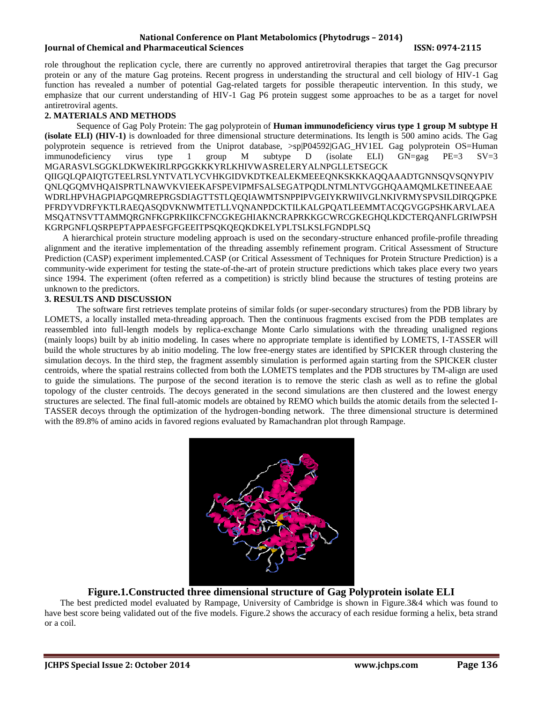#### **National Conference on Plant Metabolomics (Phytodrugs – 2014) Iournal of Chemical and Pharmaceutical Sciences ISSN: 0974-2115**

role throughout the replication cycle, there are currently no approved antiretroviral therapies that target the Gag precursor protein or any of the mature Gag proteins. Recent progress in understanding the structural and cell biology of HIV-1 Gag function has revealed a number of potential Gag-related targets for possible therapeutic intervention. In this study, we emphasize that our current understanding of HIV-1 Gag P6 protein suggest some approaches to be as a target for novel antiretroviral agents.

#### **2. MATERIALS AND METHODS**

Sequence of Gag Poly Protein: The gag polyprotein of **Human immunodeficiency virus type 1 group M subtype H (isolate ELI) (HIV-1)** is downloaded for three dimensional structure determinations. Its length is 500 amino acids. The Gag polyprotein sequence is retrieved from the Uniprot database, >sp|P04592|GAG\_HV1EL Gag polyprotein OS=Human immunodeficiency virus type 1 group M subtype D (isolate ELI)  $GN=gg$   $PE=3$   $SV=3$ MGARASVLSGGKLDKWEKIRLRPGGKKKYRLKHIVWASRELERYALNPGLLETSEGCK QIIGQLQPAIQTGTEELRSLYNTVATLYCVHKGIDVKDTKEALEKMEEEQNKSKKKAQQAAADTGNNSQVSQNYPIV QNLQGQMVHQAISPRTLNAWVKVIEEKAFSPEVIPMFSALSEGATPQDLNTMLNTVGGHQAAMQMLKETINEEAAE WDRLHPVHAGPIAPGQMREPRGSDIAGTTSTLQEQIAWMTSNPPIPVGEIYKRWIIVGLNKIVRMYSPVSILDIRQGPKE PFRDYVDRFYKTLRAEQASQDVKNWMTETLLVQNANPDCKTILKALGPQATLEEMMTACQGVGGPSHKARVLAEA MSQATNSVTTAMMQRGNFKGPRKIIKCFNCGKEGHIAKNCRAPRKKGCWRCGKEGHQLKDCTERQANFLGRIWPSH KGRPGNFLQSRPEPTAPPAESFGFGEEITPSQKQEQKDKELYPLTSLKSLFGNDPLSQ

 A hierarchical protein structure modeling approach is used on the secondary-structure enhanced profile-profile threading alignment and the iterative implementation of the threading assembly refinement program. Critical Assessment of Structure Prediction (CASP) experiment implemented.CASP (or Critical Assessment of Techniques for Protein Structure Prediction) is a community-wide experiment for testing the state-of-the-art of protein structure predictions which takes place every two years since 1994. The experiment (often referred as a competition) is strictly blind because the structures of testing proteins are unknown to the predictors.

### **3. RESULTS AND DISCUSSION**

The software first retrieves template proteins of similar folds (or super-secondary structures) from the PDB library by LOMETS, a locally installed meta-threading approach. Then the continuous fragments excised from the PDB templates are reassembled into full-length models by replica-exchange Monte Carlo simulations with the threading unaligned regions (mainly loops) built by ab initio modeling. In cases where no appropriate template is identified by LOMETS, I-TASSER will build the whole structures by ab initio modeling. The low free-energy states are identified by SPICKER through clustering the simulation decoys. In the third step, the fragment assembly simulation is performed again starting from the SPICKER cluster centroids, where the spatial restrains collected from both the LOMETS templates and the PDB structures by TM-align are used to guide the simulations. The purpose of the second iteration is to remove the steric clash as well as to refine the global topology of the cluster centroids. The decoys generated in the second simulations are then clustered and the lowest energy structures are selected. The final full-atomic models are obtained by REMO which builds the atomic details from the selected I-TASSER decoys through the optimization of the hydrogen-bonding network. The three dimensional structure is determined with the 89.8% of amino acids in favored regions evaluated by Ramachandran plot through Rampage.



## **Figure.1.Constructed three dimensional structure of Gag Polyprotein isolate ELI**

 The best predicted model evaluated by Rampage, University of Cambridge is shown in Figure.3&4 which was found to have best score being validated out of the five models. Figure.2 shows the accuracy of each residue forming a helix, beta strand or a coil.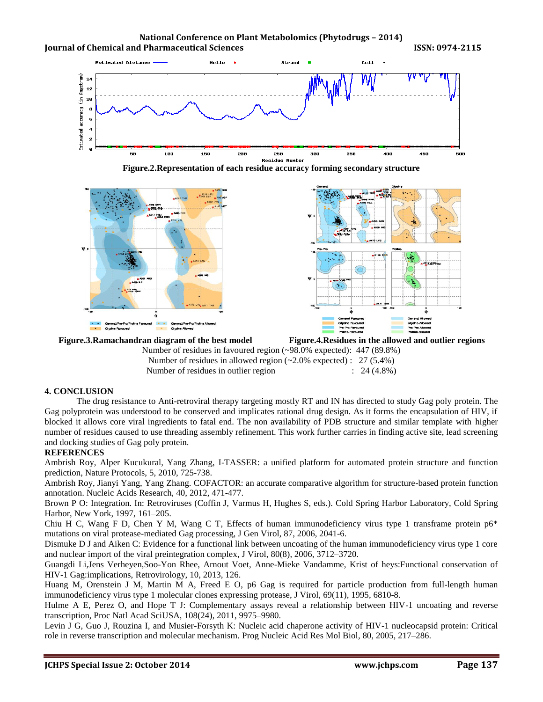







Number of residues in favoured region (~98.0% expected): 447 (89.8%) Number of residues in allowed region (~2.0% expected) : 27 (5.4%) Number of residues in outlier region : 24 (4.8%)

### **4. CONCLUSION**

The drug resistance to Anti-retroviral therapy targeting mostly RT and IN has directed to study Gag poly protein. The Gag polyprotein was understood to be conserved and implicates rational drug design. As it forms the encapsulation of HIV, if blocked it allows core viral ingredients to fatal end. The non availability of PDB structure and similar template with higher number of residues caused to use threading assembly refinement. This work further carries in finding active site, lead screening and docking studies of Gag poly protein.

#### **REFERENCES**

Ambrish Roy, Alper Kucukural, Yang Zhang, I-TASSER: a unified platform for automated protein structure and function prediction, Nature Protocols, 5, 2010, 725-738.

Ambrish Roy, Jianyi Yang, Yang Zhang. COFACTOR: an accurate comparative algorithm for structure-based protein function annotation. Nucleic Acids Research, 40, 2012, 471-477.

Brown P O: Integration. In: Retroviruses (Coffin J, Varmus H, Hughes S, eds.). Cold Spring Harbor Laboratory, Cold Spring Harbor, New York, 1997, 161–205.

Chiu H C, Wang F D, Chen Y M, Wang C T, Effects of human immunodeficiency virus type 1 transframe protein p6\* mutations on viral protease-mediated Gag processing, J Gen Virol, 87, 2006, 2041-6.

Dismuke D J and Aiken C: Evidence for a functional link between uncoating of the human immunodeficiency virus type 1 core and nuclear import of the viral preintegration complex, J Virol, 80(8), 2006, 3712–3720.

Guangdi Li,Jens Verheyen,Soo-Yon Rhee, Arnout Voet, Anne-Mieke Vandamme, Krist of heys:Functional conservation of HIV-1 Gag:implications, Retrovirology, 10, 2013, 126.

Huang M, Orenstein J M, Martin M A, Freed E O, p6 Gag is required for particle production from full-length human immunodeficiency virus type 1 molecular clones expressing protease, J Virol, 69(11), 1995, 6810-8.

Hulme A E, Perez O, and Hope T J: Complementary assays reveal a relationship between HIV-1 uncoating and reverse transcription, Proc Natl Acad SciUSA, 108(24), 2011, 9975–9980.

Levin J G, Guo J, Rouzina I, and Musier-Forsyth K: Nucleic acid chaperone activity of HIV-1 nucleocapsid protein: Critical role in reverse transcription and molecular mechanism. Prog Nucleic Acid Res Mol Biol, 80, 2005, 217–286.